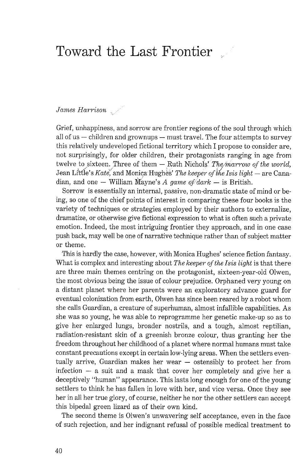## Toward the East Frontier

*James Harrison* 

Grief, unhappiness, and sorrow are frontier regions of the soul through which all of us  $-$  children and grownups  $-$  must travel. The four attempts to survey this relatively undeveloped fictional territory which I propose to consider are, not surprisingly, for older children, their protagonists ranging in age from twelve to sixteen. Three of them - Ruth Nichols' *The marrow of the world*, twelve to sixteen. Three of them — Ruth Nichols' *The marrow of the world*, Jean Little's *Kate*, and Monica Hughes' *The keeper of the Isis light* — are Cana-Jean Little's *Kate*, and Monica Hughes' *The keeper of the Isis light* dian, and one — William Mayne's *A game of dark* — is British.

Sorrow is essentially an internal, passive, non-dramatic state of mind or being, so one of the chief points of interest in comparing these four books is the variety of techniques or strategies employed by their authors to externalize, dramatize, or otherwise give fictional expression to what is often such a private emotion. Indeed, the most intriguing frontier they approach, and in one case push back, may well be one of narrative technique rather than of subject matter or theme.

This is hardly the case, however, with Monica Hughes' science fiction fantasy. What is complex and interesting about *The keeper of the Isis light* is that there are three main themes centring on the protagonist, sixteen-year-old Olwen, the most obvious being the issue of colour prejudice. Orphaned very young on a distant planet where her parents were an exploratory advance guard for eventual colonization from earth, Olwen has since been reared by a robot whom she calls Guardian, a creature of superhuman, almost infallible capabilities. As she was so young, he was able to reprogramme her genetic make-up so as to give her enlarged lungs, broader nostrils, and a tough, almost reptilian, radiation-resistant skin of a greenish bronze colour, thus granting her the freedom throughout her childhood of a planet where normal humans must take constant precautions except in certain low-lying areas. When the settlers eventually arrive, Guardian makes her wear - ostensibly to protect her from infection  $-$  a suit and a mask that cover her completely and give her a deceptively "human" appearance. This lasts long enough for one of the young settlers to think he has fallen in love with her, and vice versa. Once they see her in all her true glory, of course, neither he nor the other settlers can accept this bipedal green lizard as of their own kind.

The second theme is Olwen's unwavering self acceptance, even in the face of such rejection, and her indignant refusal of possible medical treatment to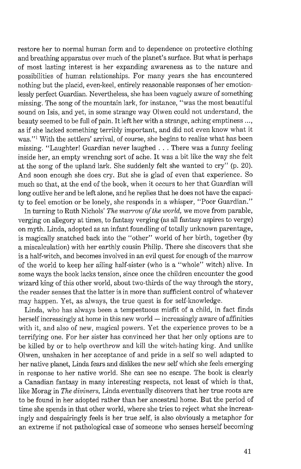restore her to normal human form and to dependence on protective clothing and breathing apparatus over much of the planet's surface. But what is perhaps of most lasting interest is her expanding awareness as to the nature and possibilities of human relationships. For many years she has encountered nothing but the placid, even-keel, entirely reasonable responses of her emotionlessly perfect Guardian. Nevertheless, she has been vaguely aware of something missing. The song of the mountain lark, for instance, "was the most beautiful sound on Isis, and yet, in some strange way Olwen could not understand, the beauty seemed to be full of pain. It left her with a strange, aching emptiness ..., as if she lacked something terribly important, and did not even know what it was."<sup>1</sup> With the settlers' arrival, of course, she begins to realize what has been missing. "Laughter! Guardian never laughed . . . There was a funny feeling inside her, an empty wrenchng sort of ache. It was a bit like the way she felt at the song of the upland lark. She suddenly felt she wanted to cry" (p. 20). And soon enough she does cry. But she is glad of even that experience. So much so that, at the end of the book, when it occurs to her that Guardian will long outlive her and be left alone, and he replies that he does not have the capacity to feel emotion or be lonely, she responds in a whisper, "Poor Guardian."

In turning to Ruth Nichols' *The marrow of the world,* we move from parable, verging on allegory at times, to fantasy verging (as all fantasy aspires to verge) on myth. Linda, adopted as an infant foundling of totally unknown parentage, is magically snatched back into the "other" world of her birth, together (by a miscalculation) with her earthly cousin Philip. There she discovers that she is a half-witch, and becomes involved in an evil quest for enough of the marrow of the world to keep her ailing half-sister (who is a "whole" witch) alive. In some ways the book lacks tension, since once the children encounter the good wizard king of this other world, about two-thirds of the way through the story, the reader senses that the latter is in more than sufficient control of whatever may happen. Yet, as always, the true quest is for self-knowledge.

Linda, who has always been a tempestuous misfit of a child, in fact finds herself increasingly at home in this new world  $-$  increasingly aware of affinities with it, and also of new, magical powers. Yet the experience proves to be a terrifying one. For her sister has convinced her that her only options are to be killed by or to help overthrow and kill the witch-hating king. And unlike Olwen, unshaken in her acceptance of and pride in a self so well adapted to her native planet, Linda fears and dislikes the new self which she feels emerging in response to her native world. She can see no escape. The book is clearly a Canadian fantasy in many interesting respects, not least of which is that, like Morag in *The diviners,* Linda eventually discovers that her true roots are to be found in her adopted rather than her ancestral home. But the period of time she spends in that other world, where she tries to reject what she increasingly and despairingly feels is her true self, is also obviously a metaphor for an extreme if not pathological case of someone who senses herself becoming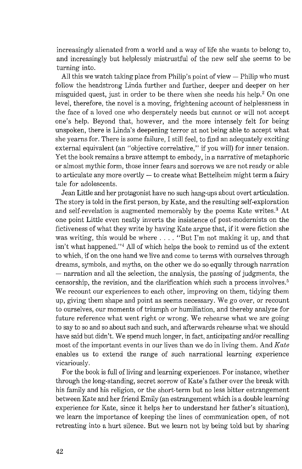increasingly alienated from a world and a way of life she wants to belong to, and increasingly but helplessly mistrustful of the new self she seems to be turning into.

All this we watch taking place from Philip's point of view  $-$  Philip who must follow the headstrong Linda further and further, deeper and deeper on her misguided quest, just in order to be there when she needs his help.<sup>2</sup> On one level, therefore, the novel is a moving, frightening account of helplessness in the face of a loved one who desperately needs but cannot or will not accept one's help. Beyond that, however, and the more intensely felt for being unspoken, there is Linda's deepening terror at not being able to accept what she yearns for. There is some failure, I still feel, to find an adequately exciting external equivalent (an "objective correlative," if you will) for inner tension. Yet the book remains a brave attempt to embody, in a narrative of metaphoric or almost mythic form, those inner fears and sorrows we are not ready or able<br>to articulate any more overtly — to create what Bettelheim might term a fairy tale for adolescents.

Jean Little and her protagonist have no such hang-ups about overt articulation. The story is told in the first person, by Kate, and the resulting self-exploration and self-revelation is augmented memorably by the poems Kate writes. $3$  At one point Little even neatly inverts the insistence of post-modernists on the fictiveness of what they write by having Kate argue that, if it were fiction she was writing, this would be where . . . . "But I'm not making it up, and that isn't what happened." $4$  All of which helps the book to remind us of the extent to which, if on the one hand we live and come to terms with ourselves through dreams, symbols, and myths, on the other we do so equally through narration  $-$  narration and all the selection, the analysis, the passing of judgments, the censorship, the revision, and the clarification which such a process involves.<sup>5</sup> We recount our experiences to each other, improving on them, tidying them up, giving them shape and point as seems necessary. We go over, or recount to ourselves, our moments of triumph or humiliation, and thereby analyze for future reference what went right or wrong. We rehearse what we are going to say to so and so about such and such, and afterwards rehearse what we should have said but didn't. We spend much longer, in fact, anticipating and/or recalling most of the important events in our lives than we do in living them. And *Kate*  enables us to extend the range of such narrational learning experience vicariously.

For the book is full of living and learning experiences. For instance, whether through the long-standing, secret sorrow of Kate's father over the break with his family and his religion, or the short-term but no less bitter estrangement between Kate and her friend Emily (an estrangement which is a double learning experience for Kate, since it helps her to understand her father's situation), we learn the importance of keeping the lines of communication open, of not retreating into a hurt silence. But we learn not by being told but by sharing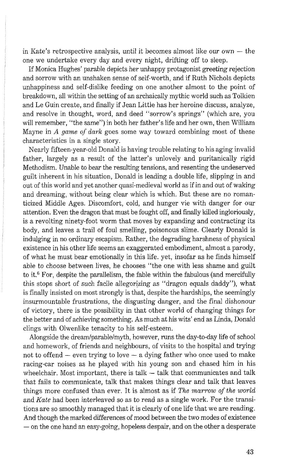in Kate's retrospective analysis, until it becomes almost like our own  $-$  the one we undertake every day and every night, drifting off to sleep.

If Monica Hughes' parable depicts her unhappy protagonist greeting rejection and sorrow with an unshaken sense of self-worth, and if Ruth Nichols depicts unhappiness and self-dislike feeding on one another almost to the point of breakdown, all within the setting of an archaically mythic world such as Tolkien and Le Guin create, and finally if Jean Little has her heroine discuss, analyze, and resolve in thought, word, and deed "sorrow's springs" (which are, you will remember, "the same") in both her father's life and her own, then William Mayne in A *game* of *dark* goes some way toward combining most of these characteristics in a single story.

Nearly fifteen-year-old Donald is having trouble relating to his aging invalid father, largely as a result of the latter's unlovely and puritanically rigid Methodism. Unable to bear the resulting tensions, and resenting the undeserved guilt inherent in his situation, Donald is leading a double life, slipping in and out of this world and yet another quasi-medieval world as if in and out of waking and dreaming, without being clear which is which. But these are no romanticized Middle Ages. Discomfort, cold, and hunger vie with danger for our attention. Even the dragon that must be fought off, and finally killed ingloriously, is a revolting ninety-foot worm that moves by expanding and contracting its body, and leaves a trail of foul smelling, poisonous slime. Clearly Donald is indulging in no ordinary escapism. Rather, the degrading harshness of physical existence in his other life seems an exaggerated embodiment, almost a parody, of what he must bear emotionally in this life. yet, insofar as he finds himself able to choose between lives, he chooses "the one with less shame and guilt to it. $6$  For, despite the parallelism, the fable within the fabulous (and mercifully this stops short of such facile allegorizing as "dragon equals daddy"), what is finally insisted on most strongly is that, despite the hardships, the seemingly insurmountable frustrations, the disgusting danger, and the final dishonour of victory, there is the possibility in that other world of changing things for the better and of achieving something. As much at his wits' end as Linda, Donald clings with Olwenlike tenacity to his self-esteem.

Alongside the dreamlparablelmyth, however, runs the day-to-day life of school and homework, of friends and neighbours, of visits to the hospital and trying not to offend  $-$  even trying to love  $-$  a dying father who once used to make racing-car noises as he played with his young son and chased him in his wheelchair. Most important, there is  $talk - talk$  that communicates and  $talk$ that fails to communicate, talk that makes things clear and talk that leaves things more confused than ever. It is almost as if *The marrow of the world*  and *Kate* had been interleaved so as to read as a single work. For the transitions are so smoothly managed that it is clearly of one life that we are reading. And though the marked differences of mood between the two modes of existence  $-$  on the one hand an easy-going, hopeless despair, and on the other a desperate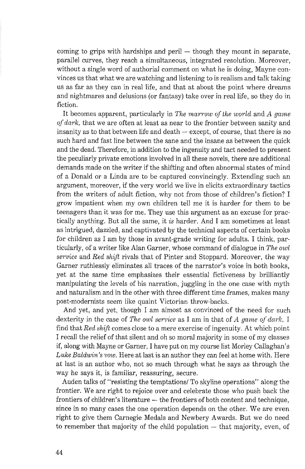coming to grips with hardships and peril  $-$  though they mount in separate, parallel curves, they reach a simultaneous, integrated resolution. Moreover, without a single word of authorial comment on what he is doing, Mayne convinces us that what we are watching and listening to is realism and talk taking us as far as they can in real life, and that at about the point where dreams and nightmares and delusions (or fantasy) take over in real life, so they do in fiction.

It becomes apparent, particularly in *The marrow of the world* and *A game* of *dark,* that we are often at least as near to the frontier between sanity and insanity as to that between life and death  $-$  except, of course, that there is no such hard and fast line between the sane and the insane as between the quick and the dead. Therefore, in addition to the ingenuity and tact needed to present the peculiarly private emotions involved in all these novels, there are additional demands made on the writer if the shifting and often abnormal states of mind of a Donald or a Linda are to be captured convincingly. Extending such an argument, moreover, if the very world we live in elicits extraordinary tactics from the writers of adult fiction, why not from those of children's fiction? I grow impatient when my own children tell me it is harder for them to be teenagers than it was for me. They use this argument as an excuse for practically anything. But all the same, it *is* harder. And *I* am sometimes at least as intrigued, dazzled, and captivated by the technical aspects of certain boolcs for children as I am by those in avant-grade writing for adults. I think, particularly, of a writer like Alan Garner, whose command of dialogue in *The owl service* and *Red shift* rivals that of Pinter and Stoppard. Moreover, the way Garner ruthlessly eliminates all traces of the narrator's voice in both books, yet at the same time emphasizes their essential fictiveness by brilliantly manipulating the levels of his narration, juggling in the one case with myth and naturalism and in the other with three different time frames, makes many post-modernists seem like quaint Victorian throw-backs.

And yet, and yet, though I am almost as convinced of the need for such dexterity in the case of *The owl service* as I am in that of A *game of dark*, I find that *Red shijt* comes close to a mere exercise of ingenuity. At which point I recall the relief of that silent and oh so moral majority in some of my classes if, along with Mayne or Garner, I have put on my course list Morley Callaghan's Luke Baldwin's vow. Here at last is an author they can feel at home with. Here at last is an author who, not so much through what he says as through the way he says it, is familiar, reassuring, secure.

Auden talks of "resisting the temptations/ To skyline operations" along the frontier. We are right to rejoice over and celebrate those who push back the frontiers of children's literature — the frontiers of both content and technique, since in so many cases the one operation depends on the other. We are even right to give them Carnegie Medals and Newbery Awards. But we do need to remember that majority of the child population  $-$  that majority, even, of